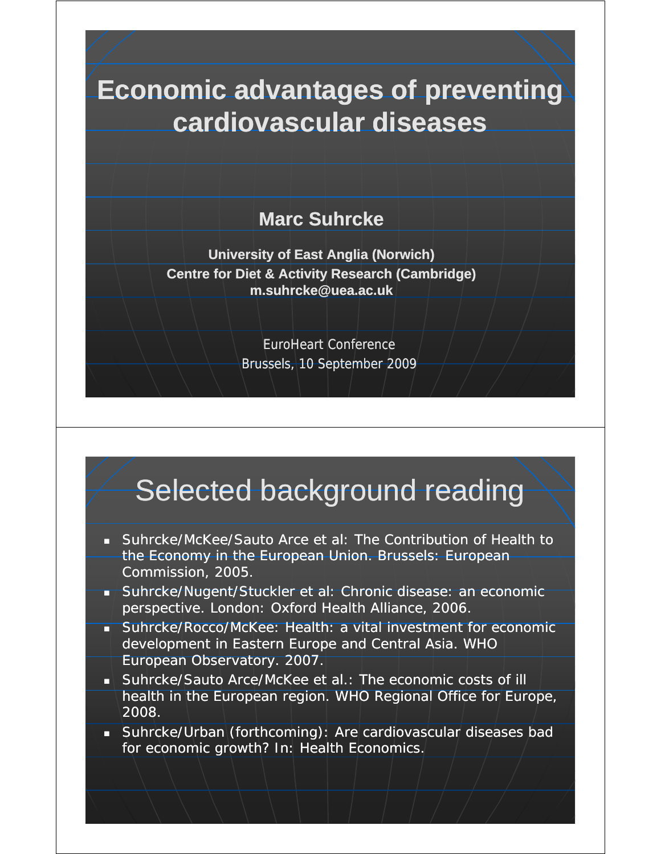### **Economic advantages of preventing cardiovascular diseases**

#### **Marc Suhrcke**

**University of East Anglia (Norwich) Centre for Diet & Activity Research (Cambridge) m suhrcke@uea ac uk m.suhrcke@uea suhrcke@uea.ac.uk**

> EuroHeart Conference Brussels, 10 September 2009

# Selected background reading

- Suhrcke/McKee/Sauto Arce et al: The Contribution of Health to the Economy in the European Union. Brussels: European Commission, 2005.
- **Suhrcke/Nugent/Stuckler et al: Chronic disease: an economic** perspective. London: Oxford Health Alliance, 2006.
- Suhrcke/Rocco/McKee: Health: a vital investment for economic development in Eastern Europe and Central Asia. WHO European Observatory. 2007.
- Suhrcke/Sauto Arce/McKee et al.: The economic costs of ill health in the European region. WHO Regional Office for Europe, 2008.
- **Suhrcke/Urban (forthcoming): Are cardiovascular diseases bad** for economic growth? In: Health Economics.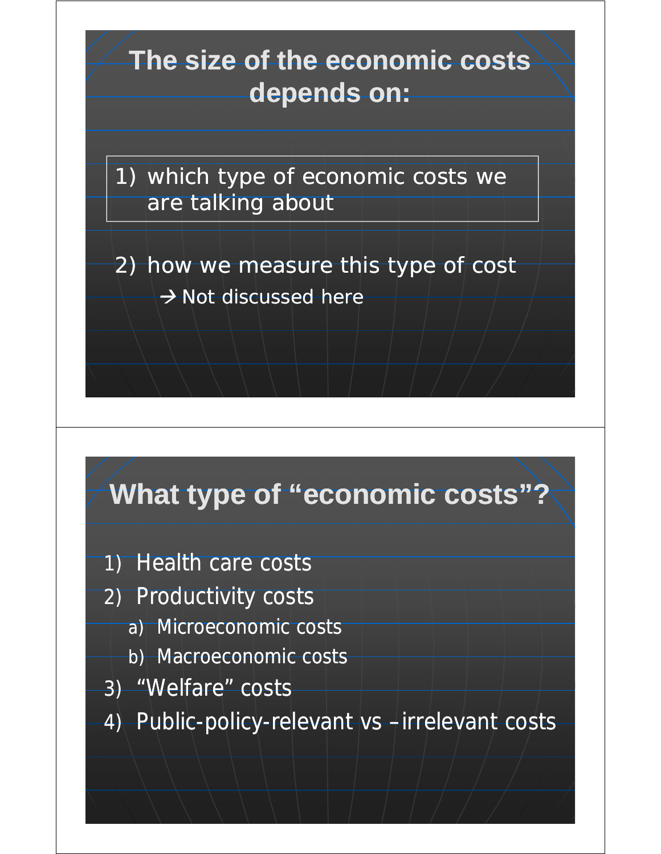## **The size of the economic costs depends on:**

1) which type of economic costs we are talking about

2) how we measure this type of cost  $\rightarrow$  *Not discussed here* 

# **What type of "economic costs"?**

- 1) Health care costs
- 2) Productivity costs
	- a) Microeconomic costs
	- b) Macroeconomic costs
- 3) "Welfare" costs
- 4) Public-policy-relevant vs -irrelevant costs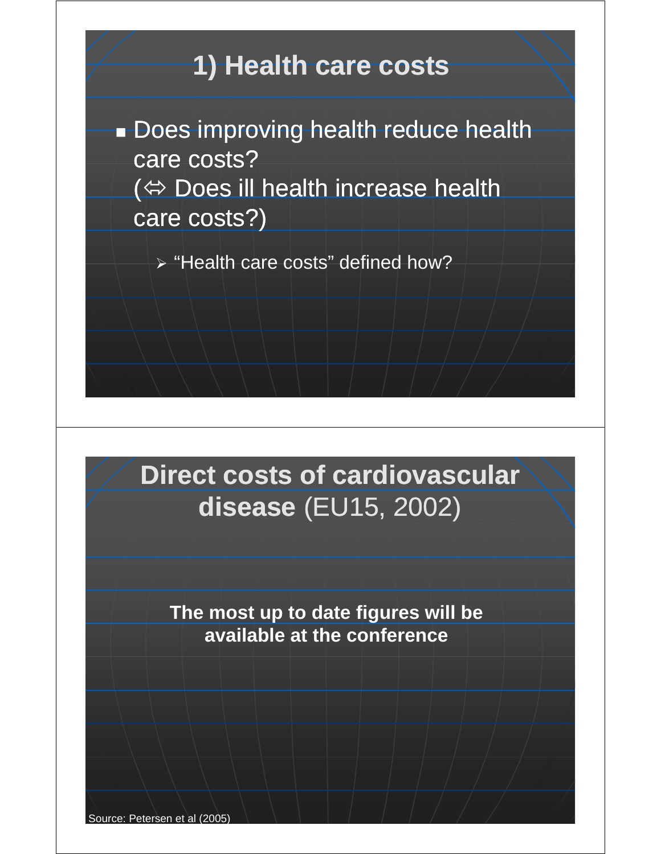### **1) Health care costs**

**Does improving health reduce health** care costs?  $\Leftrightarrow$  Does ill health increase health care costs?)

¾ "Health care costs" defined how?

## **Direct costs of cardiovascular disease** (EU15, 2002)

**The most up to date figures will be The most up to date figures will available at the conference**

Source: Petersen et al (2005)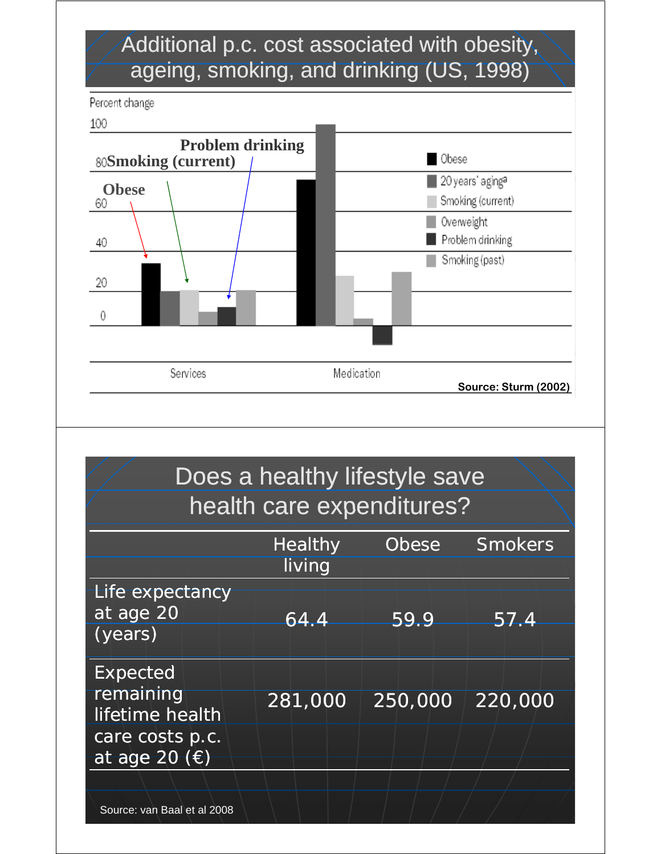### Additional p.c. cost associated with obesity, ageing, smoking, and drinking (US, 1998)

Percent change

100



|                                                                                              | Does a healthy lifestyle save<br>health care expenditures? |              |                |
|----------------------------------------------------------------------------------------------|------------------------------------------------------------|--------------|----------------|
|                                                                                              | <b>Healthy</b><br>living                                   | <b>Obese</b> | <b>Smokers</b> |
| Life expectancy<br>at age 20<br>(years)                                                      | $\overline{64.4}$                                          | 59.9         | 57.4           |
| <b>Expected</b><br>remaining<br>lifetime health<br>care costs p.c.<br>at age 20 $(\epsilon)$ | 281,000                                                    | 250,000      | 220,000        |
| Source: van Baal et al 2008                                                                  |                                                            |              |                |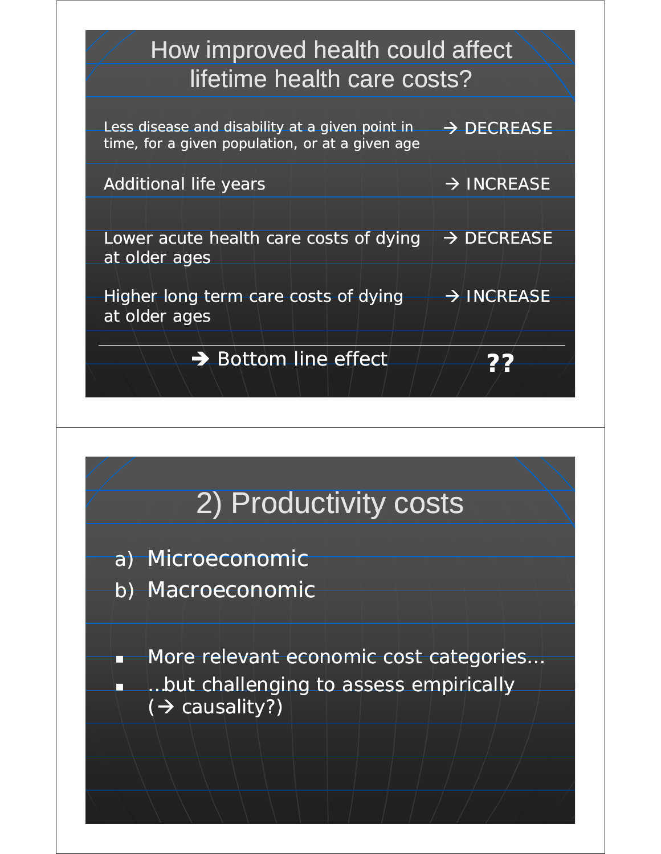

# 2) Productivity costs

- a) Microeconomic
- b) Macroeconomic

**More relevant economic cost categories...** 

 …but challenging to assess empirically  $(\rightarrow$  causality?)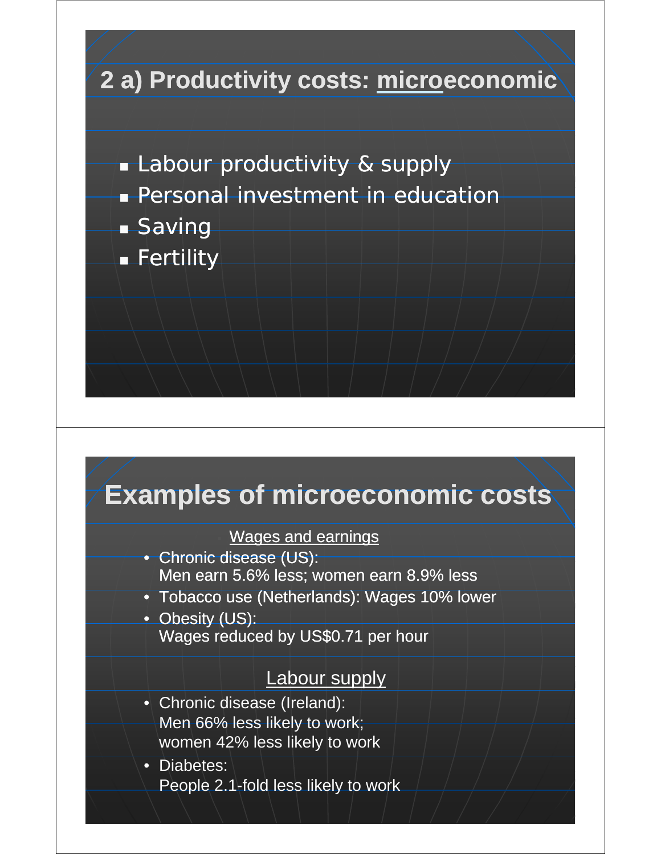

## **Examples of microeconomic costs**

#### Wages and earnings

- Chronic disease (US): Men earn 5.6% less; women earn 8.9% less
- Tobacco use (Netherlands): Wages 10% lower
- Obesity (US): Wages reduced by US\$0.71 per hour

#### Labour supply

- Chronic disease (Ireland): Men 66% less likely to work; women 42% less likely to work
- Diabetes: People 2.1-fold less likely to work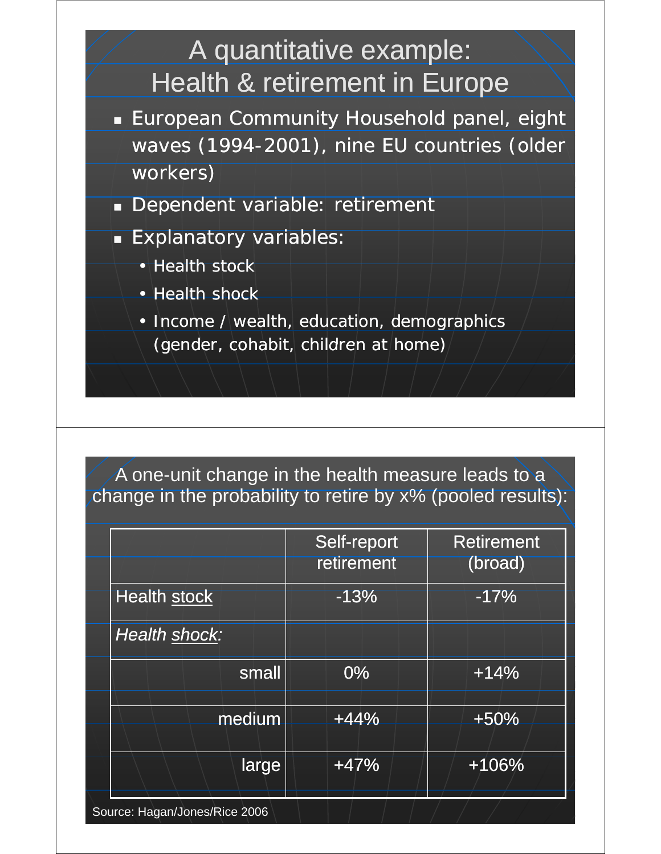

#### A one-unit change in the health measure leads to a change in the probability to retire by x% (pooled results):

|                               | Self-report<br>retirement | <b>Retirement</b><br>(broad) |
|-------------------------------|---------------------------|------------------------------|
| <b>Health stock</b>           | $-13%$                    | $-17%$                       |
| Health shock:                 |                           |                              |
| small                         | $0\%$                     | $+14%$                       |
| medium                        | $+44%$                    | $+50%$                       |
| large                         | $+47%$                    | $+106%$                      |
| Source: Hagan/Jones/Rice 2006 |                           |                              |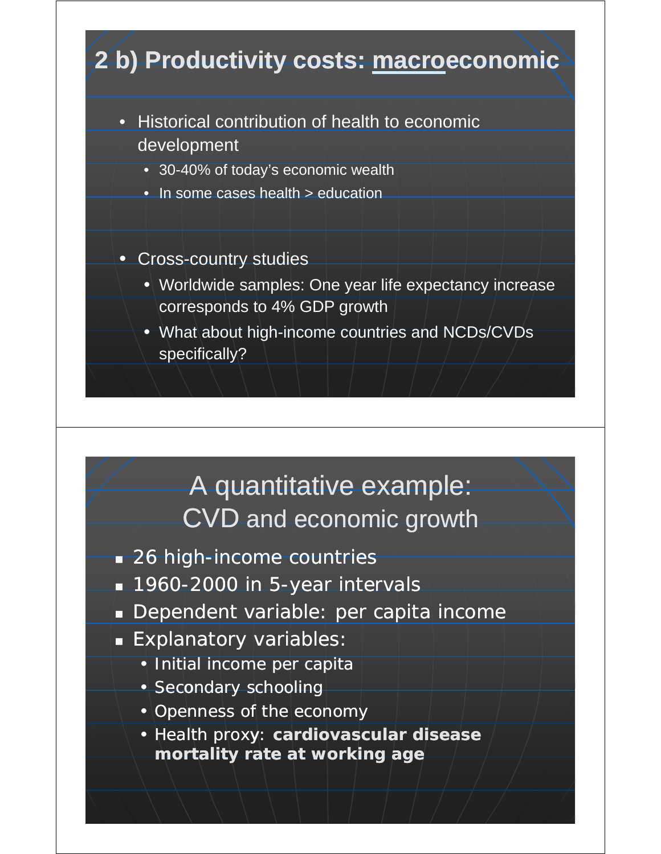

• Health proxy: **cardiovascular disease mortality rate at working age**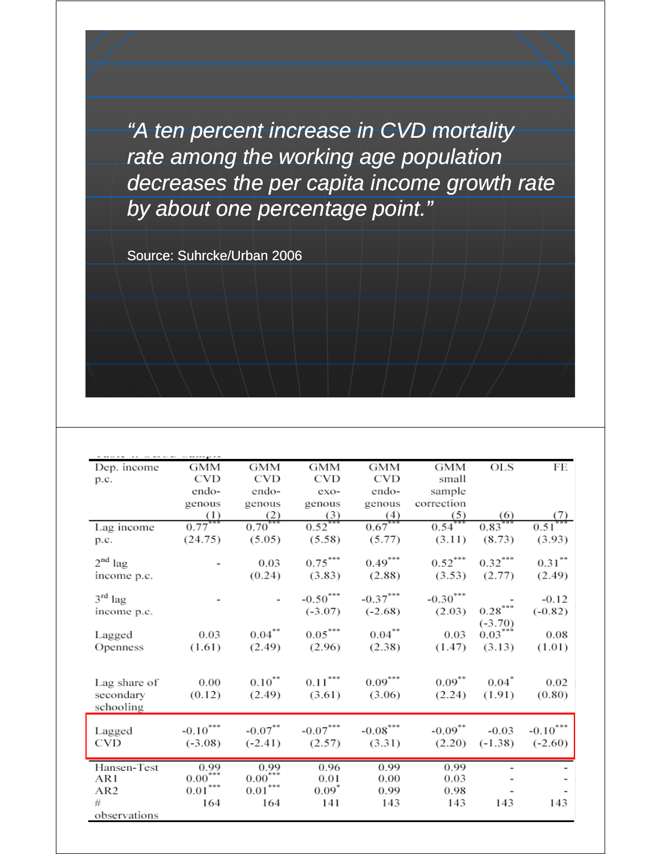*"A ten percent increase in CVD mortality rate among the working age population decreases the per capita income growth rate decreases the per capita income growth by about one percentage point."*

Source: Suhrcke/Urban 2006

| Dep. income     | <b>GMM</b>            | <b>GMM</b>            | <b>GMM</b>            | <b>GMM</b> | GMM        | <b>OLS</b>               | FE                              |
|-----------------|-----------------------|-----------------------|-----------------------|------------|------------|--------------------------|---------------------------------|
| p.c.            | CVD                   | <b>CVD</b>            | <b>CVD</b>            | <b>CVD</b> | small      |                          |                                 |
|                 | endo-                 | endo-                 | exo-                  | endo-      | sample     |                          |                                 |
|                 | genous                | genous                | genous                | genous     | correction |                          |                                 |
|                 | (1)                   |                       | (3)                   | (4)        | (5)        | (6)                      | (7)                             |
| Lag income      | $0.77***$             | $\frac{2}{0.70***}$   | $0.52***$             | $0.67***$  | $0.54***$  | $0.83***$                | $0.51***$                       |
| p.c.            | (24.75)               | (5.05)                | (5.58)                | (5.77)     | (3.11)     | (8.73)                   | (3.93)                          |
|                 |                       |                       |                       |            |            |                          |                                 |
| $2nd$ lag       |                       | 0.03                  | $0.75***$             | $0.49***$  | $0.52***$  | $0.32***$                | $0.31***$                       |
| income p.c.     |                       | (0.24)                | (3.83)                | (2.88)     | (3.53)     | (2.77)                   | (2.49)                          |
|                 |                       |                       |                       |            |            |                          |                                 |
| $3rd$ lag       |                       |                       | $-0.50***$            | $-0.37***$ | $-0.30***$ |                          | $-0.12$                         |
| income p.c.     |                       |                       | $(-3.07)$             | $(-2.68)$  | (2.03)     | $0.28^{\ast\ast\ast}$    | $(-0.82)$                       |
|                 |                       |                       |                       |            |            | $(-3.70)$                |                                 |
| Lagged          | 0.03                  | $0.04***$             | $0.05***$             | $0.04***$  | 0.03       | $0.03***$                | 0.08                            |
| Openness        | (1.61)                | (2.49)                | (2.96)                | (2.38)     | (1.47)     | (3.13)                   | (1.01)                          |
|                 |                       |                       |                       |            |            |                          |                                 |
|                 |                       |                       |                       |            |            |                          |                                 |
| Lag share of    | 0.00                  | $0.10^{**}$           | $0.11^{\ast\ast\ast}$ | $0.09***$  | $0.09***$  | $0.04^*$                 | 0.02                            |
| secondary       | (0.12)                | (2.49)                | (3.61)                | (3.06)     | (2.24)     | (1.91)                   | (0.80)                          |
| schooling       |                       |                       |                       |            |            |                          |                                 |
|                 |                       |                       |                       |            |            |                          |                                 |
| Lagged          | $-0.10***$            | $-0.07***$            | $-0.07***$            | $-0.08***$ | $-0.09***$ | $-0.03$                  | $\textbf{-0.10}^{\ast\ast\ast}$ |
| CVD             | $(-3.08)$             | $(-2.41)$             | (2.57)                | (3.31)     | (2.20)     | $(-1.38)$                | $(-2.60)$                       |
|                 |                       |                       |                       |            |            |                          |                                 |
| Hansen-Test     | $\frac{0.99}{0.00}$   | $0.99$<br>$0.00***$   | 0.96                  | 0.99       | 0.99       | $\overline{\phantom{a}}$ |                                 |
| AR1             | $0.01^{\ast\ast\ast}$ | $0.01^{\ast\ast\ast}$ | 0.01<br>$0.09^*$      | 0.00       | 0.03       |                          |                                 |
| AR <sub>2</sub> |                       |                       |                       | 0.99       | 0.98       |                          |                                 |
| #               | 164                   | 164                   | 141                   | 143        | 143        | 143                      | 143                             |
| observations    |                       |                       |                       |            |            |                          |                                 |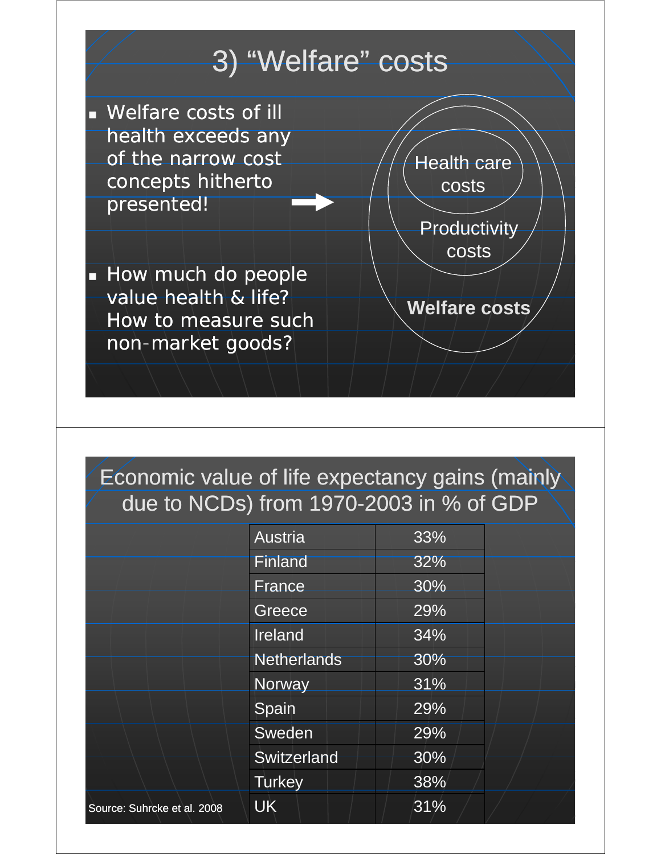

### Economic value of life expectancy gains (mainly due to NCDs) from 1970-2003 in % of GDP

|                             | <b>Austria</b>     | 33% |  |
|-----------------------------|--------------------|-----|--|
|                             | <b>Finland</b>     | 32% |  |
|                             | <b>France</b>      | 30% |  |
|                             | Greece             | 29% |  |
|                             | Ireland            | 34% |  |
|                             | <b>Netherlands</b> | 30% |  |
|                             | Norway             | 31% |  |
|                             | Spain              | 29% |  |
|                             | Sweden             | 29% |  |
|                             | Switzerland        | 30% |  |
|                             | <b>Turkey</b>      | 38% |  |
| Source: Suhrcke et al. 2008 | <b>UK</b>          | 31% |  |
|                             |                    |     |  |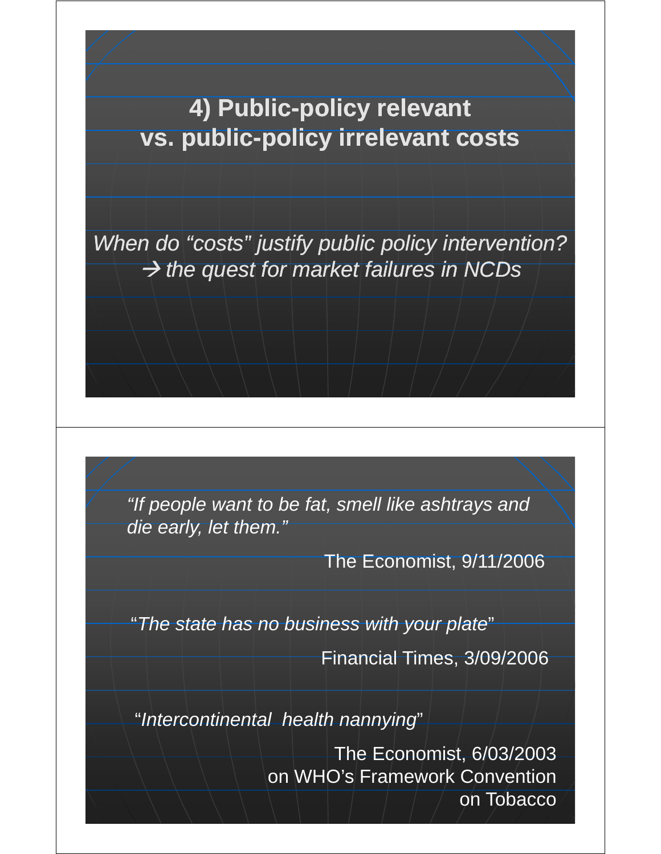**4) Public-policy relevant vs. public-policy irrelevant costs** 

*When do "costs" justify public policy intervention? When do "costs" justify public policy* Æ *the quest for market failures in NCDs*

*"If people want to be fat, smell like ashtrays and If people want to be fat, smell like ashtrays die early, let them."*

The Economist, 9/11/2006

"*The state has no business with your plate*"

Financial Times, 3/09/2006

"Intercontinental health nannying"

The Economist, 6/03/2003 on WHO's Framework Convention on Tobacco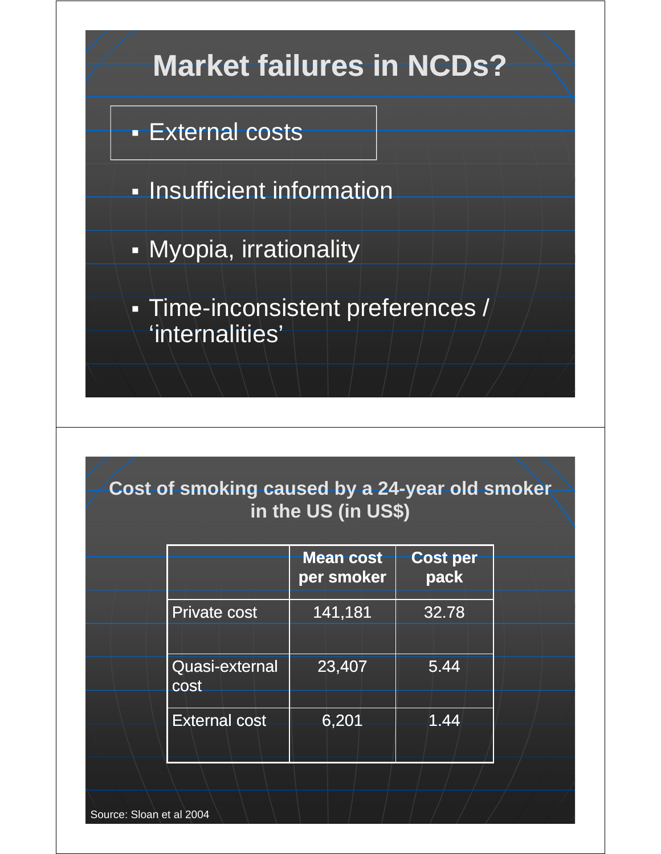

| <b>Cost of smoking caused by a 24-year old smoker</b> |  |
|-------------------------------------------------------|--|
| in the US (in US\$)                                   |  |
|                                                       |  |

|                        | <b>Mean cost</b><br>per smoker | <b>Cost per</b><br>pack |
|------------------------|--------------------------------|-------------------------|
| <b>Private cost</b>    | 141,181                        | 32.78                   |
| Quasi-external<br>cost | 23,407                         | 5.44                    |
| <b>External cost</b>   | 6,201                          | 1.44                    |
|                        |                                |                         |

Source: Sloan et al 2004